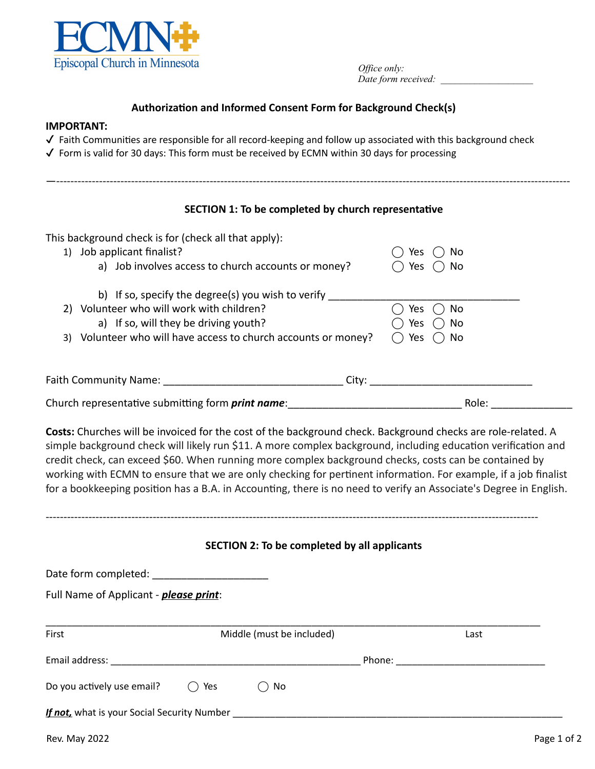

*Office only*: *Date form received: \_\_\_\_\_\_\_\_\_\_\_\_\_\_\_\_\_\_\_*

## Authorization and Informed Consent Form for Background Check(s)

#### **IMPORTANT:**

- $\checkmark$  Faith Communities are responsible for all record-keeping and follow up associated with this background check
- $\checkmark$  Form is valid for 30 days: This form must be received by ECMN within 30 days for processing

| SECTION 1: To be completed by church representative            |            |
|----------------------------------------------------------------|------------|
| This background check is for (check all that apply):           |            |
| 1) Job applicant finalist?                                     | Yes<br>No  |
| a) Job involves access to church accounts or money?            | No<br>Yes  |
| b) If so, specify the degree(s) you wish to verify             |            |
| 2) Volunteer who will work with children?                      | No.<br>Yes |
| a) If so, will they be driving youth?                          | Yes<br>No  |
| 3) Volunteer who will have access to church accounts or money? | No<br>Yes  |
|                                                                |            |
| Faith Community Name:<br>Citv:                                 |            |

Church representative submitting form *print name*: entitled and a set of the Role: containing the Role: containing form  $print$   $name$ :

------------------------------------------------------------------------------------------------------------------------------------------

**Costs:** Churches will be invoiced for the cost of the background check. Background checks are role-related. A simple background check will likely run \$11. A more complex background, including education verification and credit check, can exceed \$60. When running more complex background checks, costs can be contained by working with ECMN to ensure that we are only checking for pertinent information. For example, if a job finalist for a bookkeeping position has a B.A. in Accounting, there is no need to verify an Associate's Degree in English.

# **SECTION 2: To be completed by all applicants**

| Full Name of Applicant - <i>please print</i> : |     |                           |  |      |  |  |  |
|------------------------------------------------|-----|---------------------------|--|------|--|--|--|
| First                                          |     | Middle (must be included) |  | Last |  |  |  |
|                                                |     |                           |  |      |  |  |  |
| Do you actively use email?                     | Yes | No                        |  |      |  |  |  |
|                                                |     |                           |  |      |  |  |  |